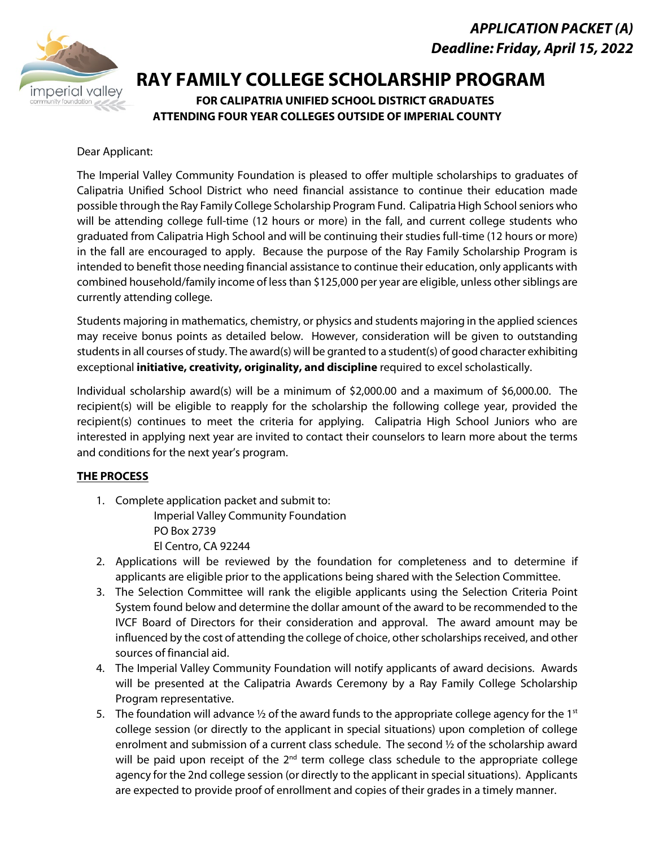## *APPLICATION PACKET (A) Deadline: Friday, April 15, 2022*



# **RAY FAMILY COLLEGE SCHOLARSHIP PROGRAM**<br>FOR CALIPATRIA UNIFIED SCHOOL DISTRICT GRADUATES

**ATTENDING FOUR YEAR COLLEGES OUTSIDE OF IMPERIAL COUNTY**

#### Dear Applicant:

The Imperial Valley Community Foundation is pleased to offer multiple scholarships to graduates of Calipatria Unified School District who need financial assistance to continue their education made possible through the Ray Family College Scholarship Program Fund. Calipatria High School seniors who will be attending college full-time (12 hours or more) in the fall, and current college students who graduated from Calipatria High School and will be continuing their studies full-time (12 hours or more) in the fall are encouraged to apply. Because the purpose of the Ray Family Scholarship Program is intended to benefit those needing financial assistance to continue their education, only applicants with combined household/family income of less than \$125,000 per year are eligible, unless other siblings are currently attending college.

Students majoring in mathematics, chemistry, or physics and students majoring in the applied sciences may receive bonus points as detailed below. However, consideration will be given to outstanding students in all courses of study. The award(s) will be granted to a student(s) of good character exhibiting exceptional **initiative, creativity, originality, and discipline** required to excel scholastically.

Individual scholarship award(s) will be a minimum of \$2,000.00 and a maximum of \$6,000.00. The recipient(s) will be eligible to reapply for the scholarship the following college year, provided the recipient(s) continues to meet the criteria for applying. Calipatria High School Juniors who are interested in applying next year are invited to contact their counselors to learn more about the terms and conditions for the next year's program.

#### **THE PROCESS**

- 1. Complete application packet and submit to: Imperial Valley Community Foundation PO Box 2739 El Centro, CA 92244
- 2. Applications will be reviewed by the foundation for completeness and to determine if applicants are eligible prior to the applications being shared with the Selection Committee.
- 3. The Selection Committee will rank the eligible applicants using the Selection Criteria Point System found below and determine the dollar amount of the award to be recommended to the IVCF Board of Directors for their consideration and approval. The award amount may be influenced by the cost of attending the college of choice, other scholarships received, and other sources of financial aid.
- 4. The Imperial Valley Community Foundation will notify applicants of award decisions. Awards will be presented at the Calipatria Awards Ceremony by a Ray Family College Scholarship Program representative.
- 5. The foundation will advance  $\frac{1}{2}$  of the award funds to the appropriate college agency for the 1st college session (or directly to the applicant in special situations) upon completion of college enrolment and submission of a current class schedule. The second ½ of the scholarship award will be paid upon receipt of the  $2<sup>nd</sup>$  term college class schedule to the appropriate college agency for the 2nd college session (or directly to the applicant in special situations). Applicants are expected to provide proof of enrollment and copies of their grades in a timely manner.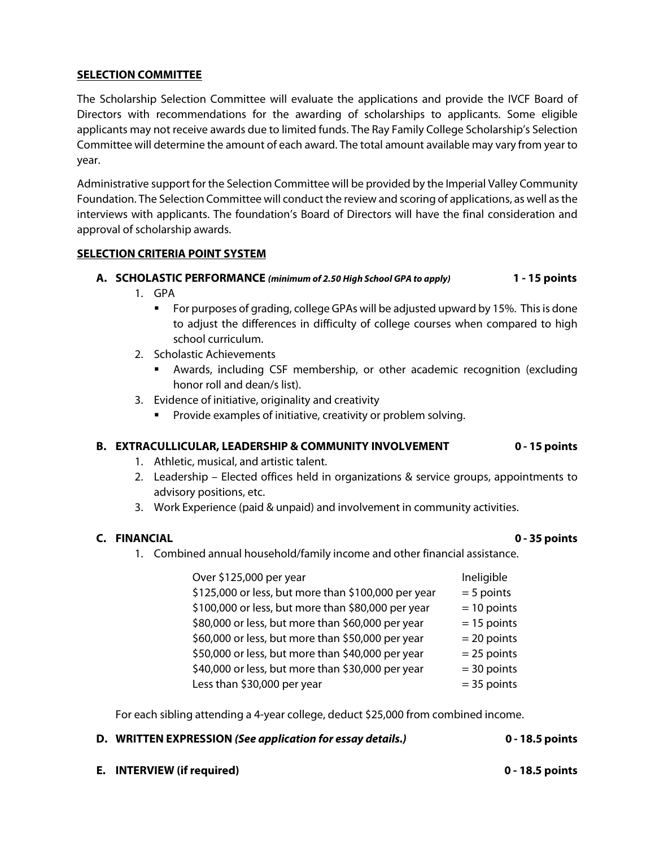#### **SELECTION COMMITTEE**

The Scholarship Selection Committee will evaluate the applications and provide the IVCF Board of Directors with recommendations for the awarding of scholarships to applicants. Some eligible applicants may not receive awards due to limited funds. The Ray Family College Scholarship's Selection Committee will determine the amount of each award. The total amount available may vary from year to year.

Administrative support for the Selection Committee will be provided by the Imperial Valley Community Foundation. The Selection Committee will conduct the review and scoring of applications, as well as the interviews with applicants. The foundation's Board of Directors will have the final consideration and approval of scholarship awards.

#### **SELECTION CRITERIA POINT SYSTEM**

#### **A. SCHOLASTIC PERFORMANCE** *(minimum of 2.50 High School GPA to apply)* **1 - 15 points**

- 1. GPA
	- For purposes of grading, college GPAs will be adjusted upward by 15%. This is done to adjust the differences in difficulty of college courses when compared to high school curriculum.
- 2. Scholastic Achievements
	- Awards, including CSF membership, or other academic recognition (excluding honor roll and dean/s list).
- 3. Evidence of initiative, originality and creativity
	- **Provide examples of initiative, creativity or problem solving.**

#### **B. EXTRACULLICULAR, LEADERSHIP & COMMUNITY INVOLVEMENT 0 - 15 points**

- 1. Athletic, musical, and artistic talent.
- 2. Leadership Elected offices held in organizations & service groups, appointments to advisory positions, etc.
- 3. Work Experience (paid & unpaid) and involvement in community activities.

#### **C. FINANCIAL 0 - 35 points**

1. Combined annual household/family income and other financial assistance.

| Over \$125,000 per year                             | Ineligible    |
|-----------------------------------------------------|---------------|
| \$125,000 or less, but more than \$100,000 per year | $= 5$ points  |
| \$100,000 or less, but more than \$80,000 per year  | $= 10$ points |
| \$80,000 or less, but more than \$60,000 per year   | $= 15$ points |
| \$60,000 or less, but more than \$50,000 per year   | $= 20$ points |
| \$50,000 or less, but more than \$40,000 per year   | $= 25$ points |
| \$40,000 or less, but more than \$30,000 per year   | $=$ 30 points |
| Less than \$30,000 per year                         | $=$ 35 points |

For each sibling attending a 4-year college, deduct \$25,000 from combined income.

- **D. WRITTEN EXPRESSION** *(See application for essay details.)* **0 18.5 points**
- **E. INTERVIEW (if required) 0 18.5 points**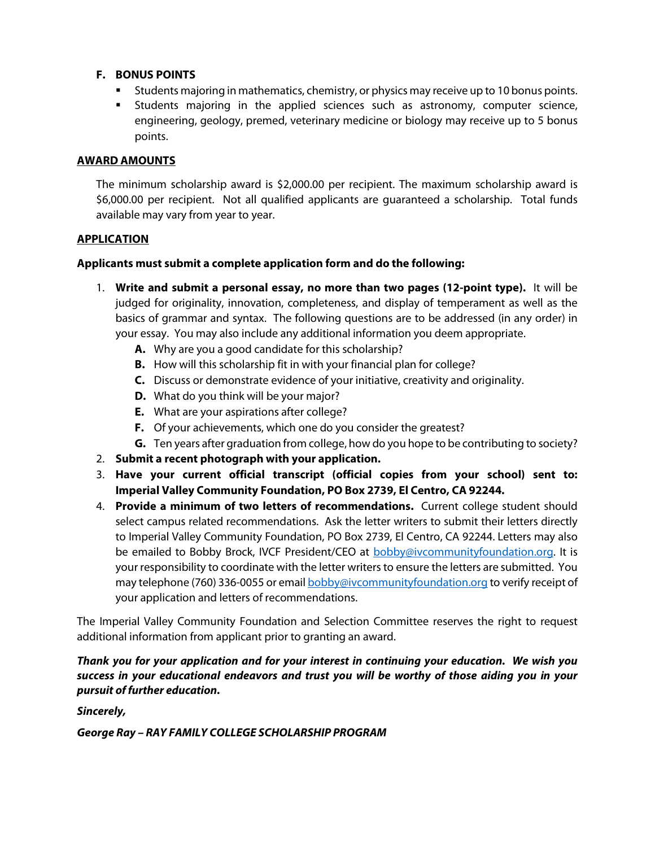#### **F. BONUS POINTS**

- Students majoring in mathematics, chemistry, or physics may receive up to 10 bonus points.
- **EXTENTS Many Students majoring in the applied sciences such as astronomy, computer science,** engineering, geology, premed, veterinary medicine or biology may receive up to 5 bonus points.

#### **AWARD AMOUNTS**

The minimum scholarship award is \$2,000.00 per recipient. The maximum scholarship award is \$6,000.00 per recipient. Not all qualified applicants are guaranteed a scholarship. Total funds available may vary from year to year.

#### **APPLICATION**

#### **Applicants must submit a complete application form and do the following:**

- 1. **Write and submit a personal essay, no more than two pages (12-point type).** It will be judged for originality, innovation, completeness, and display of temperament as well as the basics of grammar and syntax. The following questions are to be addressed (in any order) in your essay. You may also include any additional information you deem appropriate.
	- **A.** Why are you a good candidate for this scholarship?
	- **B.** How will this scholarship fit in with your financial plan for college?
	- **C.** Discuss or demonstrate evidence of your initiative, creativity and originality.
	- **D.** What do you think will be your major?
	- **E.** What are your aspirations after college?
	- **F.** Of your achievements, which one do you consider the greatest?
	- **G.** Ten years after graduation from college, how do you hope to be contributing to society?
- 2. **Submit a recent photograph with your application.**
- 3. **Have your current official transcript (official copies from your school) sent to: Imperial Valley Community Foundation, PO Box 2739, El Centro, CA 92244.**
- 4. **Provide a minimum of two letters of recommendations.** Current college student should select campus related recommendations. Ask the letter writers to submit their letters directly to Imperial Valley Community Foundation, PO Box 2739, El Centro, CA 92244. Letters may also be emailed to Bobby Brock, IVCF President/CEO at bobby@ivcommunityfoundation.org. It is your responsibility to coordinate with the letter writers to ensure the letters are submitted. You may telephone (760) 336-0055 or email **bobby@ivcommunityfoundation.org** to verify receipt of your application and letters of recommendations.

The Imperial Valley Community Foundation and Selection Committee reserves the right to request additional information from applicant prior to granting an award.

*Thank you for your application and for your interest in continuing your education. We wish you success in your educational endeavors and trust you will be worthy of those aiding you in your pursuit of further education.*

*Sincerely,*

*George Ray – RAY FAMILY COLLEGE SCHOLARSHIP PROGRAM*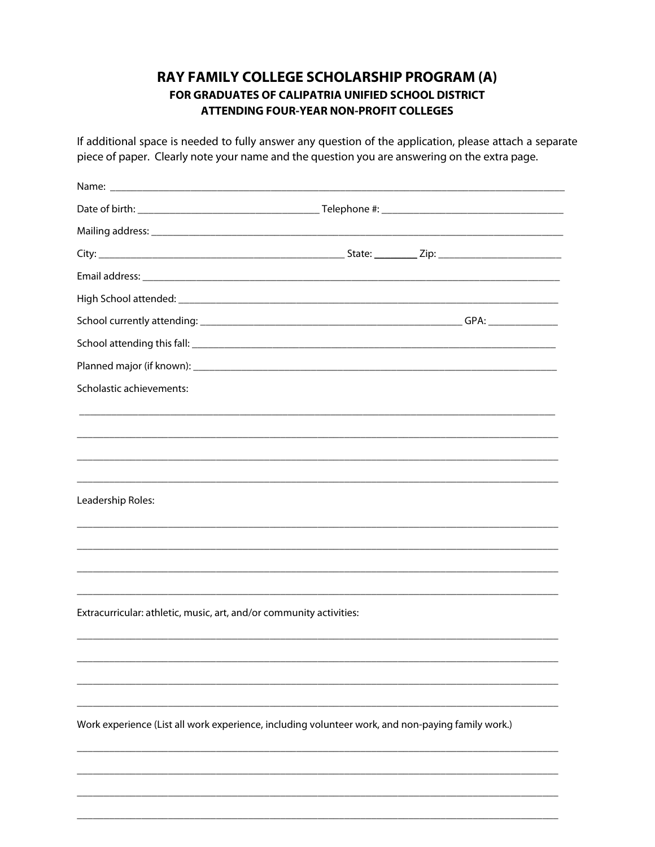### RAY FAMILY COLLEGE SCHOLARSHIP PROGRAM (A) FOR GRADUATES OF CALIPATRIA UNIFIED SCHOOL DISTRICT **ATTENDING FOUR-YEAR NON-PROFIT COLLEGES**

If additional space is needed to fully answer any question of the application, please attach a separate piece of paper. Clearly note your name and the question you are answering on the extra page.

| Scholastic achievements:                                            |                                                                                                   |
|---------------------------------------------------------------------|---------------------------------------------------------------------------------------------------|
|                                                                     |                                                                                                   |
|                                                                     |                                                                                                   |
|                                                                     |                                                                                                   |
|                                                                     |                                                                                                   |
| Leadership Roles:                                                   |                                                                                                   |
|                                                                     |                                                                                                   |
|                                                                     |                                                                                                   |
|                                                                     |                                                                                                   |
|                                                                     |                                                                                                   |
| Extracurricular: athletic, music, art, and/or community activities: |                                                                                                   |
|                                                                     |                                                                                                   |
|                                                                     |                                                                                                   |
|                                                                     |                                                                                                   |
|                                                                     |                                                                                                   |
|                                                                     | Work experience (List all work experience, including volunteer work, and non-paying family work.) |
|                                                                     |                                                                                                   |
|                                                                     |                                                                                                   |